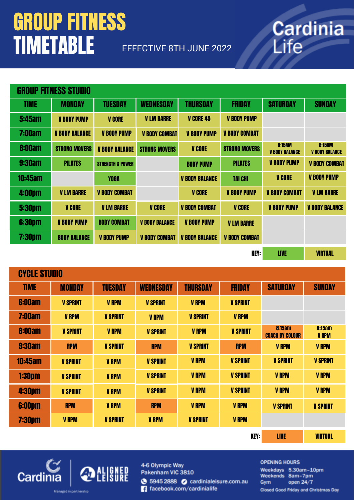## EFFECTIVE 8TH JUNE 2022 Life GROUP FITNESS TIMETABLE

# Cardinia

### CYCLE STUDIO

| <b>TIME</b>                | <b>MONDAY</b>   | <b>TUESDAY</b>  | <b>WEDNESDAY</b> | <b>THURSDAY</b> | <b>FRIDAY</b>   | <b>SATURDAY</b>                         | <b>SUNDAY</b>                 |
|----------------------------|-----------------|-----------------|------------------|-----------------|-----------------|-----------------------------------------|-------------------------------|
| <b>6:00am</b>              | <b>V SPRINT</b> | <b>V RPM</b>    | <b>V SPRINT</b>  | <b>V RPM</b>    | <b>V SPRINT</b> |                                         |                               |
| <b>7:00am</b>              | <b>V RPM</b>    | <b>V SPRINT</b> | <b>V RPM</b>     | <b>V SPRINT</b> | <b>V RPM</b>    |                                         |                               |
| <b>8:00am</b>              | <b>V SPRINT</b> | <b>V RPM</b>    | <b>V SPRINT</b>  | <b>V RPM</b>    | <b>V SPRINT</b> | <b>8.15am</b><br><b>COACH BY COLOUR</b> | <b>8:15am</b><br><b>V RPM</b> |
| <b>9:30am</b>              | <b>RPM</b>      | <b>V SPRINT</b> | <b>RPM</b>       | <b>V SPRINT</b> | <b>RPM</b>      | <b>V RPM</b>                            | <b>V RPM</b>                  |
| <b>10:45am</b>             | <b>V SPRINT</b> | <b>V RPM</b>    | <b>V SPRINT</b>  | <b>V RPM</b>    | <b>V SPRINT</b> | <b>V SPRINT</b>                         | <b>V SPRINT</b>               |
| <b>1:30pm</b>              | <b>V SPRINT</b> | <b>V RPM</b>    | <b>V SPRINT</b>  | <b>V RPM</b>    | <b>V SPRINT</b> | <b>V RPM</b>                            | <b>V RPM</b>                  |
| <b>4:30pm</b>              | <b>V SPRINT</b> | <b>V RPM</b>    | <b>V SPRINT</b>  | <b>V RPM</b>    | <b>V SPRINT</b> | <b>V RPM</b>                            | <b>V RPM</b>                  |
| <b>6:00pm</b>              | <b>RPM</b>      | <b>V RPM</b>    | <b>RPM</b>       | <b>V RPM</b>    | <b>V RPM</b>    | <b>V SPRINT</b>                         | <b>V SPRINT</b>               |
| <b>7:30pm</b>              | <b>V RPM</b>    | <b>V SPRINT</b> | <b>V RPM</b>     | <b>V SPRINT</b> | <b>V RPM</b>    |                                         |                               |
| <b>KEY:</b><br><b>LIVE</b> |                 |                 |                  |                 |                 | <b>VIRTUAL</b>                          |                               |



4-6 Olympic Way Pakenham VIC 3810 **● 5945 2888 ● cardinialeisure.com.au** facebook.com/cardinialife

#### **OPENING HOURS**

Weekdays 5.30am-10pm Weekends 8am-7pm open 24/7 Gym

**Closed Good Friday and Christmas Day** 

Managed in partnership

KEY: LIVE VIRTUAL

| <b>GROUP FITNESS STUDIO</b> |                       |                             |                       |                       |                      |                                        |                                        |
|-----------------------------|-----------------------|-----------------------------|-----------------------|-----------------------|----------------------|----------------------------------------|----------------------------------------|
| <b>TIME</b>                 | <b>MONDAY</b>         | <b>TUESDAY</b>              | <b>WEDNESDAY</b>      | <b>THURSDAY</b>       | <b>FRIDAY</b>        | <b>SATURDAY</b>                        | <b>SUNDAY</b>                          |
| <b>5:45am</b>               | <b>V BODY PUMP</b>    | <b>V CORE</b>               | <b>V LM BARRE</b>     | <b>V CORE 45</b>      | <b>V BODY PUMP</b>   |                                        |                                        |
| <b>7:00am</b>               | <b>V BODY BALANCE</b> | <b>V BODY PUMP</b>          | <b>V BODY COMBAT</b>  | <b>V BODY PUMP</b>    | <b>V BODY COMBAT</b> |                                        |                                        |
| <b>8:00am</b>               | <b>STRONG MOVERS</b>  | <b>V BODY BALANCE</b>       | <b>STRONG MOVERS</b>  | <b>V CORE</b>         | <b>STRONG MOVERS</b> | <b>8:15AM</b><br><b>V BODY BALANCE</b> | <b>8:15AM</b><br><b>V BODY BALANCE</b> |
| <b>9:30am</b>               | <b>PILATES</b>        | <b>STRENGTH &amp; POWER</b> |                       | <b>BODY PUMP</b>      | <b>PILATES</b>       | <b>V BODY PUMP</b>                     | <b>V BODY COMBAT</b>                   |
| <b>10:45am</b>              |                       | <b>YOGA</b>                 |                       | <b>V BODY BALANCE</b> | <b>TAI CHI</b>       | <b>V CORE</b>                          | <b>V BODY PUMP</b>                     |
| <b>4:00pm</b>               | <b>V LM BARRE</b>     | <b>V BODY COMBAT</b>        |                       | <b>V CORE</b>         | <b>V BODY PUMP</b>   | <b>V BODY COMBAT</b>                   | <b>V LM BARRE</b>                      |
| <b>5:30pm</b>               | <b>V CORE</b>         | <b>V LM BARRE</b>           | <b>V CORE</b>         | <b>V BODY COMBAT</b>  | <b>V CORE</b>        | <b>V BODY PUMP</b>                     | <b>V BODY BALANCE</b>                  |
| <b>6:30pm</b>               | <b>V BODY PUMP</b>    | <b>BODY COMBAT</b>          | <b>V BODY BALANCE</b> | <b>V BODY PUMP</b>    | <b>V LM BARRE</b>    |                                        |                                        |
| <b>7:30pm</b>               | <b>BODY BALANCE</b>   | <b>V BODY PUMP</b>          | <b>V BODY COMBAT</b>  | <b>V BODY BALANCE</b> | <b>V BODY COMBAT</b> |                                        |                                        |